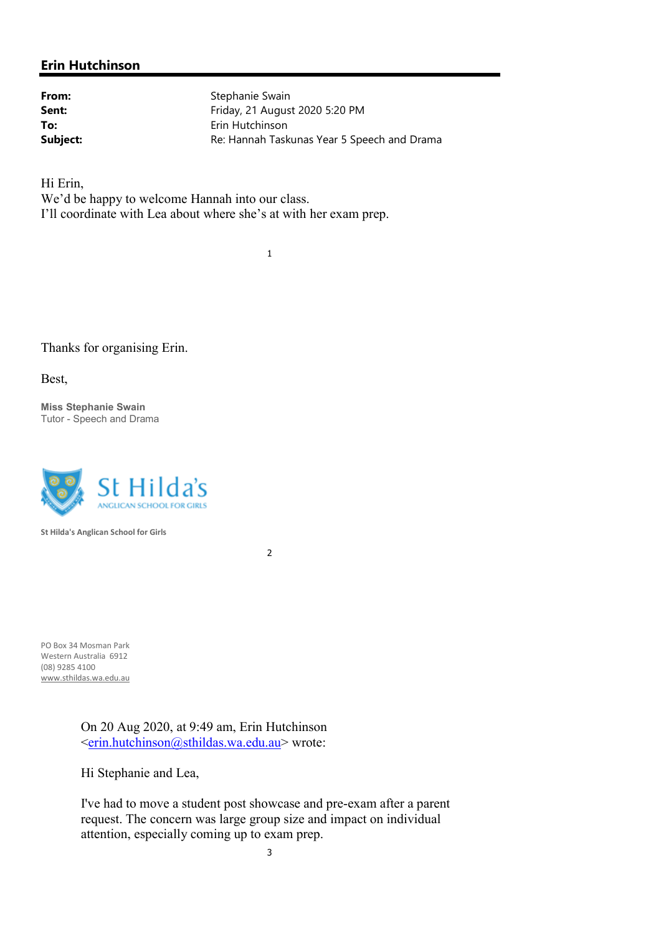## Erin Hutchinson

From: Stephanie Swain **Sent:** Friday, 21 August 2020 5:20 PM To: Erin Hutchinson Subject: Subject: Re: Hannah Taskunas Year 5 Speech and Drama

Hi Erin, We'd be happy to welcome Hannah into our class. I'll coordinate with Lea about where she's at with her exam prep.

1

Thanks for organising Erin.

Best,

Miss Stephanie Swain Tutor - Speech and Drama



St Hilda's Anglican School for Girls

2

PO Box 34 Mosman Park Western Australia 6912 (08) 9285 4100 www.sthildas.wa.edu.au

> On 20 Aug 2020, at 9:49 am, Erin Hutchinson <erin.hutchinson@sthildas.wa.edu.au> wrote:

Hi Stephanie and Lea,

I've had to move a student post showcase and pre-exam after a parent request. The concern was large group size and impact on individual attention, especially coming up to exam prep.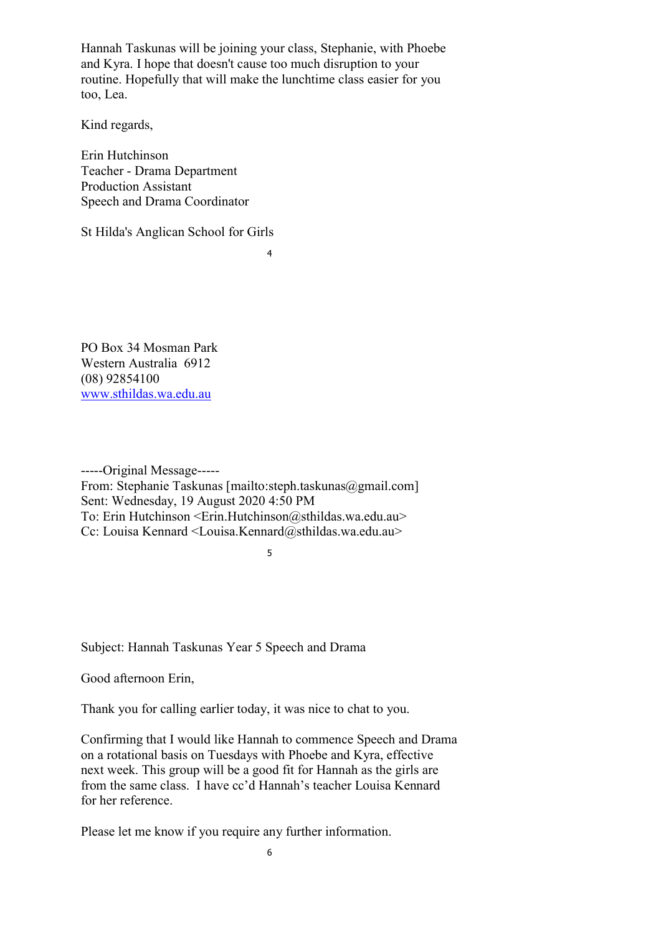Hannah Taskunas will be joining your class, Stephanie, with Phoebe and Kyra. I hope that doesn't cause too much disruption to your routine. Hopefully that will make the lunchtime class easier for you too, Lea.

Kind regards,

Erin Hutchinson Teacher - Drama Department Production Assistant Speech and Drama Coordinator

St Hilda's Anglican School for Girls

4

PO Box 34 Mosman Park Western Australia 6912 (08) 92854100 www.sthildas.wa.edu.au

-----Original Message----- From: Stephanie Taskunas [mailto:steph.taskunas@gmail.com] Sent: Wednesday, 19 August 2020 4:50 PM To: Erin Hutchinson <Erin.Hutchinson@sthildas.wa.edu.au> Cc: Louisa Kennard <Louisa.Kennard@sthildas.wa.edu.au>

5

Subject: Hannah Taskunas Year 5 Speech and Drama

Good afternoon Erin,

Thank you for calling earlier today, it was nice to chat to you.

Confirming that I would like Hannah to commence Speech and Drama on a rotational basis on Tuesdays with Phoebe and Kyra, effective next week. This group will be a good fit for Hannah as the girls are from the same class. I have cc'd Hannah's teacher Louisa Kennard for her reference.

Please let me know if you require any further information.